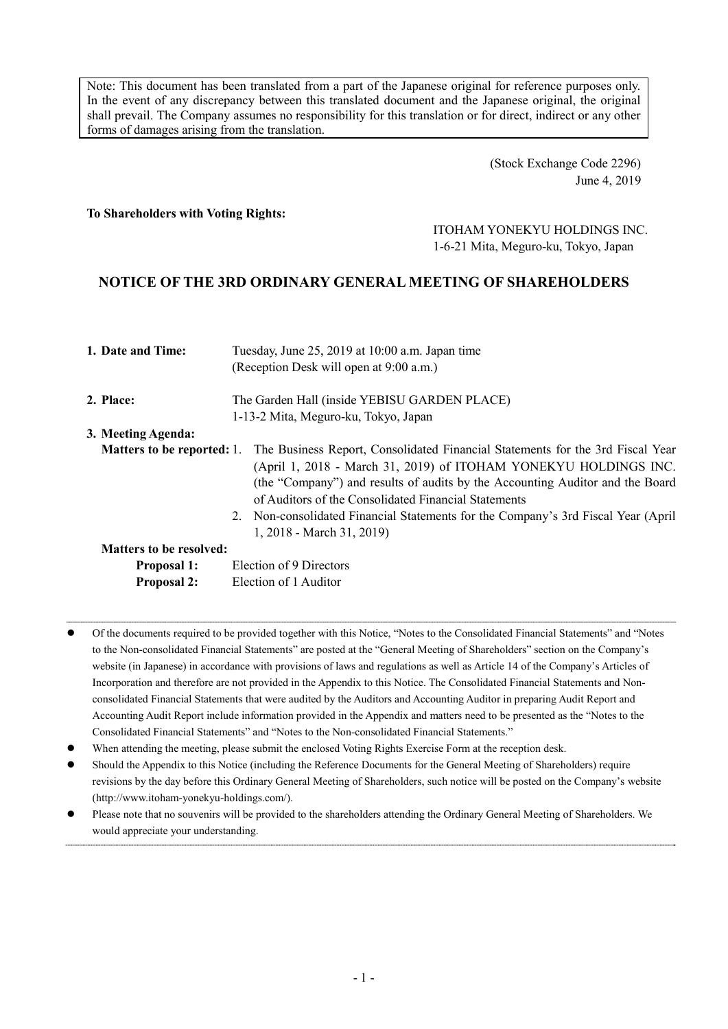Note: This document has been translated from a part of the Japanese original for reference purposes only. In the event of any discrepancy between this translated document and the Japanese original, the original shall prevail. The Company assumes no responsibility for this translation or for direct, indirect or any other forms of damages arising from the translation.

> (Stock Exchange Code 2296) June 4, 2019

#### **To Shareholders with Voting Rights:**

# ITOHAM YONEKYU HOLDINGS INC. 1-6-21 Mita, Meguro-ku, Tokyo, Japan

## **NOTICE OF THE 3RD ORDINARY GENERAL MEETING OF SHAREHOLDERS**

| 1. Date and Time:                 | Tuesday, June 25, 2019 at 10:00 a.m. Japan time<br>(Reception Desk will open at 9:00 a.m.)                                                                                                                                                                                                                                                                                                                     |
|-----------------------------------|----------------------------------------------------------------------------------------------------------------------------------------------------------------------------------------------------------------------------------------------------------------------------------------------------------------------------------------------------------------------------------------------------------------|
| 2. Place:                         | The Garden Hall (inside YEBISU GARDEN PLACE)                                                                                                                                                                                                                                                                                                                                                                   |
|                                   | 1-13-2 Mita, Meguro-ku, Tokyo, Japan                                                                                                                                                                                                                                                                                                                                                                           |
| 3. Meeting Agenda:                |                                                                                                                                                                                                                                                                                                                                                                                                                |
| <b>Matters to be reported: 1.</b> | The Business Report, Consolidated Financial Statements for the 3rd Fiscal Year<br>(April 1, 2018 - March 31, 2019) of ITOHAM YONEKYU HOLDINGS INC.<br>(the "Company") and results of audits by the Accounting Auditor and the Board<br>of Auditors of the Consolidated Financial Statements<br>2. Non-consolidated Financial Statements for the Company's 3rd Fiscal Year (April)<br>1, 2018 - March 31, 2019) |
| <b>Matters to be resolved:</b>    |                                                                                                                                                                                                                                                                                                                                                                                                                |
| <b>Proposal 1:</b>                | Election of 9 Directors                                                                                                                                                                                                                                                                                                                                                                                        |
| <b>Proposal 2:</b>                | Election of 1 Auditor                                                                                                                                                                                                                                                                                                                                                                                          |

 Of the documents required to be provided together with this Notice, "Notes to the Consolidated Financial Statements" and "Notes to the Non-consolidated Financial Statements" are posted at the "General Meeting of Shareholders" section on the Company's website (in Japanese) in accordance with provisions of laws and regulations as well as Article 14 of the Company's Articles of Incorporation and therefore are not provided in the Appendix to this Notice. The Consolidated Financial Statements and Nonconsolidated Financial Statements that were audited by the Auditors and Accounting Auditor in preparing Audit Report and Accounting Audit Report include information provided in the Appendix and matters need to be presented as the "Notes to the Consolidated Financial Statements" and "Notes to the Non-consolidated Financial Statements."

- When attending the meeting, please submit the enclosed Voting Rights Exercise Form at the reception desk.
- Should the Appendix to this Notice (including the Reference Documents for the General Meeting of Shareholders) require revisions by the day before this Ordinary General Meeting of Shareholders, such notice will be posted on the Company's website (http://www.itoham-yonekyu-holdings.com/).
- Please note that no souvenirs will be provided to the shareholders attending the Ordinary General Meeting of Shareholders. We would appreciate your understanding.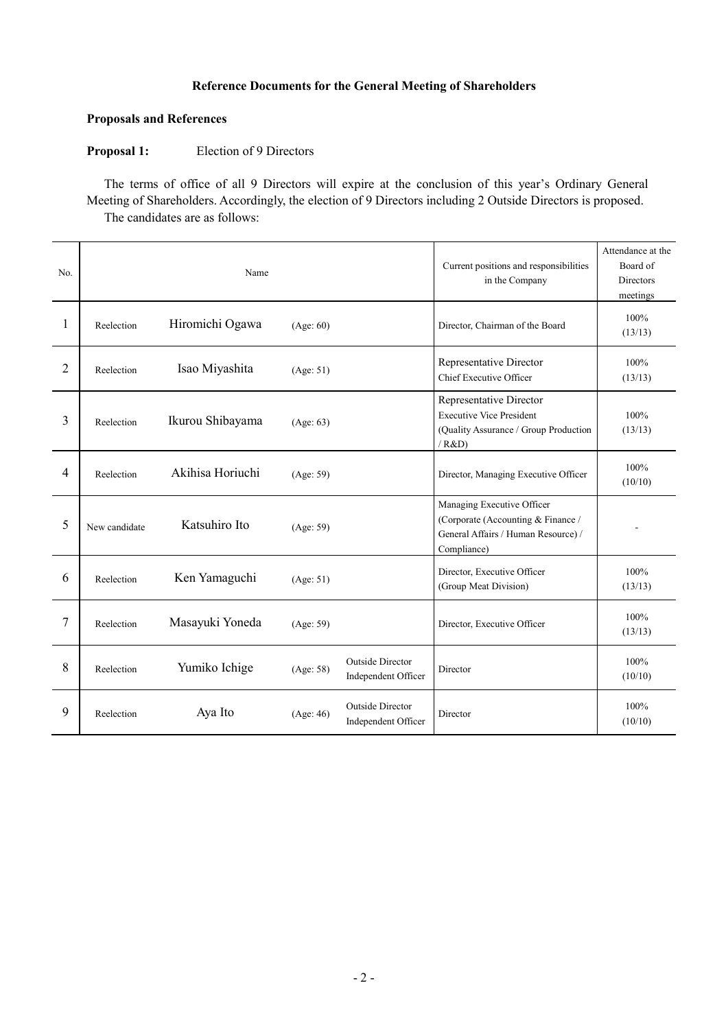## **Reference Documents for the General Meeting of Shareholders**

## **Proposals and References**

#### **Proposal 1:** Election of 9 Directors

The terms of office of all 9 Directors will expire at the conclusion of this year's Ordinary General Meeting of Shareholders. Accordingly, the election of 9 Directors including 2 Outside Directors is proposed. The candidates are as follows:

| No.            |               | Name             | Current positions and responsibilities<br>in the Company | Attendance at the<br>Board of<br>Directors<br>meetings |                                                                                                                        |                 |
|----------------|---------------|------------------|----------------------------------------------------------|--------------------------------------------------------|------------------------------------------------------------------------------------------------------------------------|-----------------|
| 1              | Reelection    | Hiromichi Ogawa  | (Age: 60)                                                |                                                        | Director, Chairman of the Board                                                                                        | 100%<br>(13/13) |
| $\overline{2}$ | Reelection    | Isao Miyashita   | (Age: 51)                                                |                                                        | Representative Director<br>Chief Executive Officer                                                                     | 100%<br>(13/13) |
| $\overline{3}$ | Reelection    | Ikurou Shibayama | (Age: 63)                                                |                                                        | Representative Director<br><b>Executive Vice President</b><br>(Quality Assurance / Group Production<br>/ R&D)          | 100%<br>(13/13) |
| $\overline{4}$ | Reelection    | Akihisa Horiuchi | (Age: 59)                                                |                                                        | Director, Managing Executive Officer                                                                                   | 100%<br>(10/10) |
| 5              | New candidate | Katsuhiro Ito    | (Age: 59)                                                |                                                        | Managing Executive Officer<br>(Corporate (Accounting & Finance /<br>General Affairs / Human Resource) /<br>Compliance) |                 |
| 6              | Reelection    | Ken Yamaguchi    | (Age: 51)                                                |                                                        | Director, Executive Officer<br>(Group Meat Division)                                                                   | 100%<br>(13/13) |
| $\overline{7}$ | Reelection    | Masayuki Yoneda  | (Age: 59)                                                |                                                        | Director, Executive Officer                                                                                            | 100%<br>(13/13) |
| 8              | Reelection    | Yumiko Ichige    | (Age: 58)                                                | <b>Outside Director</b><br>Independent Officer         | Director                                                                                                               | 100%<br>(10/10) |
| 9              | Reelection    | Aya Ito          | (Age: 46)                                                | <b>Outside Director</b><br>Independent Officer         | Director                                                                                                               | 100%<br>(10/10) |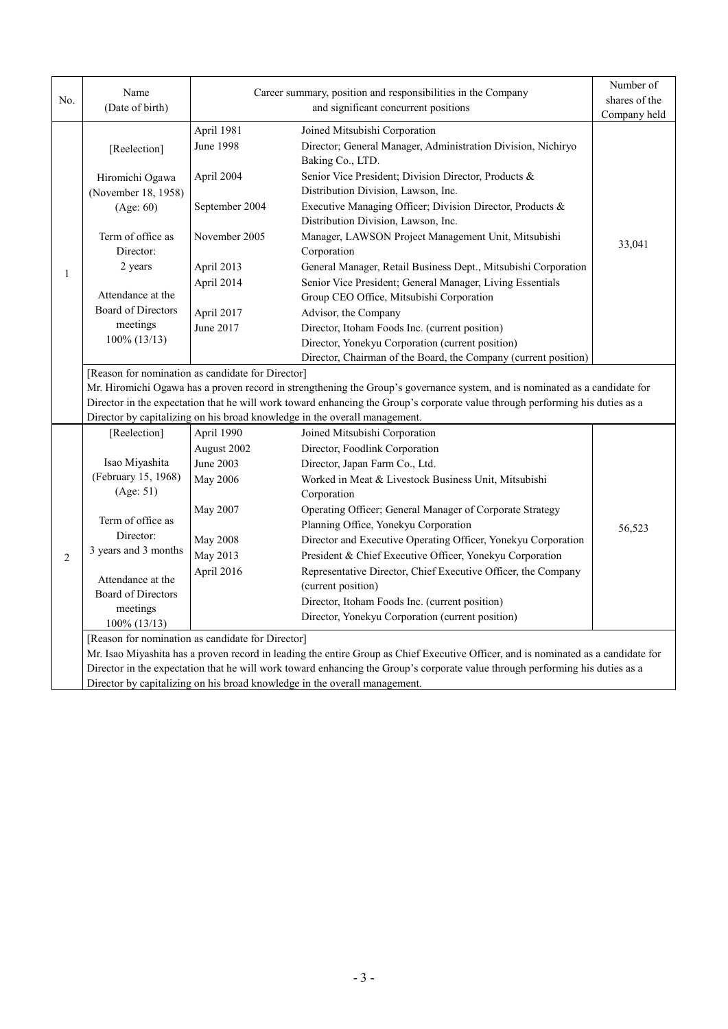| No.            | Name                                                                                                                                                                                                                                                                                                                                                                                                   |                                                                                                                    | Career summary, position and responsibilities in the Company                                                                                                                                                                                                                                                                                                                                                                                                                                                                                                                                           | Number of<br>shares of the |  |  |
|----------------|--------------------------------------------------------------------------------------------------------------------------------------------------------------------------------------------------------------------------------------------------------------------------------------------------------------------------------------------------------------------------------------------------------|--------------------------------------------------------------------------------------------------------------------|--------------------------------------------------------------------------------------------------------------------------------------------------------------------------------------------------------------------------------------------------------------------------------------------------------------------------------------------------------------------------------------------------------------------------------------------------------------------------------------------------------------------------------------------------------------------------------------------------------|----------------------------|--|--|
|                | (Date of birth)                                                                                                                                                                                                                                                                                                                                                                                        | and significant concurrent positions                                                                               |                                                                                                                                                                                                                                                                                                                                                                                                                                                                                                                                                                                                        | Company held               |  |  |
| $\mathbf{1}$   | [Reelection]                                                                                                                                                                                                                                                                                                                                                                                           | April 1981<br><b>June 1998</b>                                                                                     | Joined Mitsubishi Corporation<br>Director; General Manager, Administration Division, Nichiryo<br>Baking Co., LTD.                                                                                                                                                                                                                                                                                                                                                                                                                                                                                      |                            |  |  |
|                | Hiromichi Ogawa<br>(November 18, 1958)<br>(Age: 60)<br>Term of office as<br>Director:<br>2 years<br>Attendance at the<br><b>Board of Directors</b><br>meetings                                                                                                                                                                                                                                         | April 2004<br>September 2004<br>November 2005<br>April 2013<br>April 2014<br>April 2017<br>June 2017               | Senior Vice President; Division Director, Products &<br>Distribution Division, Lawson, Inc.<br>Executive Managing Officer; Division Director, Products &<br>Distribution Division, Lawson, Inc.<br>Manager, LAWSON Project Management Unit, Mitsubishi<br>Corporation<br>General Manager, Retail Business Dept., Mitsubishi Corporation<br>Senior Vice President; General Manager, Living Essentials<br>Group CEO Office, Mitsubishi Corporation<br>Advisor, the Company<br>Director, Itoham Foods Inc. (current position)                                                                             | 33,041                     |  |  |
|                | 100% (13/13)                                                                                                                                                                                                                                                                                                                                                                                           |                                                                                                                    | Director, Yonekyu Corporation (current position)<br>Director, Chairman of the Board, the Company (current position)                                                                                                                                                                                                                                                                                                                                                                                                                                                                                    |                            |  |  |
|                | [Reason for nomination as candidate for Director]<br>Mr. Hiromichi Ogawa has a proven record in strengthening the Group's governance system, and is nominated as a candidate for<br>Director in the expectation that he will work toward enhancing the Group's corporate value through performing his duties as a<br>Director by capitalizing on his broad knowledge in the overall management.        |                                                                                                                    |                                                                                                                                                                                                                                                                                                                                                                                                                                                                                                                                                                                                        |                            |  |  |
| $\overline{2}$ | [Reelection]<br>Isao Miyashita<br>(February 15, 1968)<br>(Age: 51)<br>Term of office as<br>Director:<br>3 years and 3 months<br>Attendance at the<br><b>Board of Directors</b><br>meetings<br>100% (13/13)                                                                                                                                                                                             | April 1990<br>August 2002<br>June 2003<br><b>May 2006</b><br>May 2007<br><b>May 2008</b><br>May 2013<br>April 2016 | Joined Mitsubishi Corporation<br>Director, Foodlink Corporation<br>Director, Japan Farm Co., Ltd.<br>Worked in Meat & Livestock Business Unit, Mitsubishi<br>Corporation<br>Operating Officer; General Manager of Corporate Strategy<br>Planning Office, Yonekyu Corporation<br>Director and Executive Operating Officer, Yonekyu Corporation<br>President & Chief Executive Officer, Yonekyu Corporation<br>Representative Director, Chief Executive Officer, the Company<br>(current position)<br>Director, Itoham Foods Inc. (current position)<br>Director, Yonekyu Corporation (current position) | 56,523                     |  |  |
|                | [Reason for nomination as candidate for Director]<br>Mr. Isao Miyashita has a proven record in leading the entire Group as Chief Executive Officer, and is nominated as a candidate for<br>Director in the expectation that he will work toward enhancing the Group's corporate value through performing his duties as a<br>Director by capitalizing on his broad knowledge in the overall management. |                                                                                                                    |                                                                                                                                                                                                                                                                                                                                                                                                                                                                                                                                                                                                        |                            |  |  |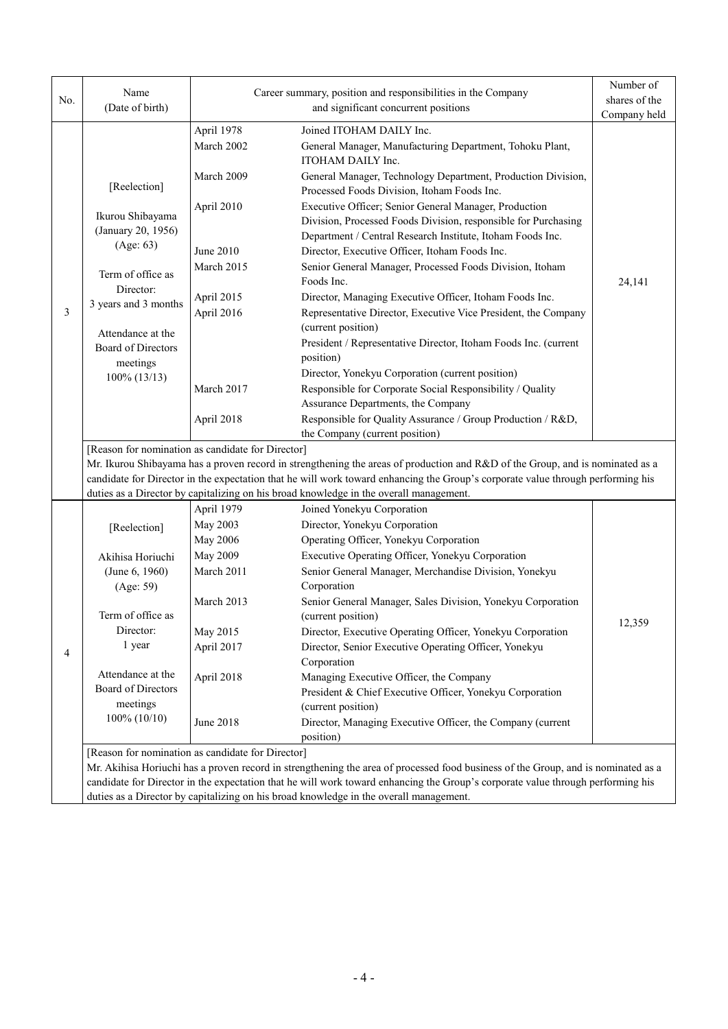|     | Name                                                                                                                            |                                                                                                                                 | Career summary, position and responsibilities in the Company                                                                      | Number of     |  |  |
|-----|---------------------------------------------------------------------------------------------------------------------------------|---------------------------------------------------------------------------------------------------------------------------------|-----------------------------------------------------------------------------------------------------------------------------------|---------------|--|--|
| No. | (Date of birth)                                                                                                                 |                                                                                                                                 | and significant concurrent positions                                                                                              | shares of the |  |  |
|     |                                                                                                                                 |                                                                                                                                 | Joined ITOHAM DAILY Inc.                                                                                                          | Company held  |  |  |
|     |                                                                                                                                 | April 1978<br>March 2002                                                                                                        | General Manager, Manufacturing Department, Tohoku Plant,<br>ITOHAM DAILY Inc.                                                     |               |  |  |
|     | [Reelection]                                                                                                                    | March 2009                                                                                                                      | General Manager, Technology Department, Production Division,<br>Processed Foods Division, Itoham Foods Inc.                       |               |  |  |
|     | Ikurou Shibayama<br>(January 20, 1956)                                                                                          | April 2010                                                                                                                      | Executive Officer; Senior General Manager, Production<br>Division, Processed Foods Division, responsible for Purchasing           |               |  |  |
|     | (Age: 63)                                                                                                                       | June 2010                                                                                                                       | Department / Central Research Institute, Itoham Foods Inc.<br>Director, Executive Officer, Itoham Foods Inc.                      |               |  |  |
|     | Term of office as                                                                                                               | March 2015                                                                                                                      | Senior General Manager, Processed Foods Division, Itoham<br>Foods Inc.                                                            | 24,141        |  |  |
|     | Director:<br>3 years and 3 months                                                                                               | April 2015                                                                                                                      | Director, Managing Executive Officer, Itoham Foods Inc.                                                                           |               |  |  |
| 3   |                                                                                                                                 | April 2016                                                                                                                      | Representative Director, Executive Vice President, the Company<br>(current position)                                              |               |  |  |
|     | Attendance at the<br><b>Board of Directors</b>                                                                                  |                                                                                                                                 | President / Representative Director, Itoham Foods Inc. (current<br>position)                                                      |               |  |  |
|     | meetings<br>$100\%$ (13/13)                                                                                                     |                                                                                                                                 | Director, Yonekyu Corporation (current position)                                                                                  |               |  |  |
|     |                                                                                                                                 | March 2017                                                                                                                      | Responsible for Corporate Social Responsibility / Quality                                                                         |               |  |  |
|     |                                                                                                                                 |                                                                                                                                 | Assurance Departments, the Company<br>Responsible for Quality Assurance / Group Production / R&D,                                 |               |  |  |
|     |                                                                                                                                 | April 2018                                                                                                                      | the Company (current position)                                                                                                    |               |  |  |
|     | [Reason for nomination as candidate for Director]                                                                               |                                                                                                                                 |                                                                                                                                   |               |  |  |
|     | Mr. Ikurou Shibayama has a proven record in strengthening the areas of production and R&D of the Group, and is nominated as a   |                                                                                                                                 |                                                                                                                                   |               |  |  |
|     |                                                                                                                                 | candidate for Director in the expectation that he will work toward enhancing the Group's corporate value through performing his |                                                                                                                                   |               |  |  |
|     |                                                                                                                                 |                                                                                                                                 | duties as a Director by capitalizing on his broad knowledge in the overall management.                                            |               |  |  |
|     |                                                                                                                                 | April 1979                                                                                                                      | Joined Yonekyu Corporation                                                                                                        |               |  |  |
|     | [Reelection]                                                                                                                    | May 2003                                                                                                                        | Director, Yonekyu Corporation                                                                                                     |               |  |  |
|     |                                                                                                                                 | <b>May 2006</b>                                                                                                                 | Operating Officer, Yonekyu Corporation                                                                                            |               |  |  |
|     | Akihisa Horiuchi                                                                                                                | <b>May 2009</b>                                                                                                                 | Executive Operating Officer, Yonekyu Corporation                                                                                  |               |  |  |
|     | (June 6, 1960)<br>(Age: 59)                                                                                                     | March 2011                                                                                                                      | Senior General Manager, Merchandise Division, Yonekyu<br>Corporation                                                              |               |  |  |
|     |                                                                                                                                 | March 2013                                                                                                                      | Senior General Manager, Sales Division, Yonekyu Corporation                                                                       |               |  |  |
|     | Term of office as                                                                                                               |                                                                                                                                 | (current position)                                                                                                                |               |  |  |
|     | Director:                                                                                                                       | May 2015                                                                                                                        | Director, Executive Operating Officer, Yonekyu Corporation                                                                        | 12,359        |  |  |
| 4   | 1 year                                                                                                                          | April 2017                                                                                                                      | Director, Senior Executive Operating Officer, Yonekyu                                                                             |               |  |  |
|     |                                                                                                                                 |                                                                                                                                 | Corporation                                                                                                                       |               |  |  |
|     | Attendance at the                                                                                                               | April 2018                                                                                                                      | Managing Executive Officer, the Company                                                                                           |               |  |  |
|     | Board of Directors                                                                                                              |                                                                                                                                 | President & Chief Executive Officer, Yonekyu Corporation                                                                          |               |  |  |
|     | meetings                                                                                                                        |                                                                                                                                 | (current position)                                                                                                                |               |  |  |
|     | $100\% (10/10)$                                                                                                                 | <b>June 2018</b>                                                                                                                | Director, Managing Executive Officer, the Company (current<br>position)                                                           |               |  |  |
|     | [Reason for nomination as candidate for Director]                                                                               |                                                                                                                                 |                                                                                                                                   |               |  |  |
|     |                                                                                                                                 |                                                                                                                                 | Mr. Akihisa Horiuchi has a proven record in strengthening the area of processed food business of the Group, and is nominated as a |               |  |  |
|     | candidate for Director in the expectation that he will work toward enhancing the Group's corporate value through performing his |                                                                                                                                 |                                                                                                                                   |               |  |  |
|     | duties as a Director by capitalizing on his broad knowledge in the overall management.                                          |                                                                                                                                 |                                                                                                                                   |               |  |  |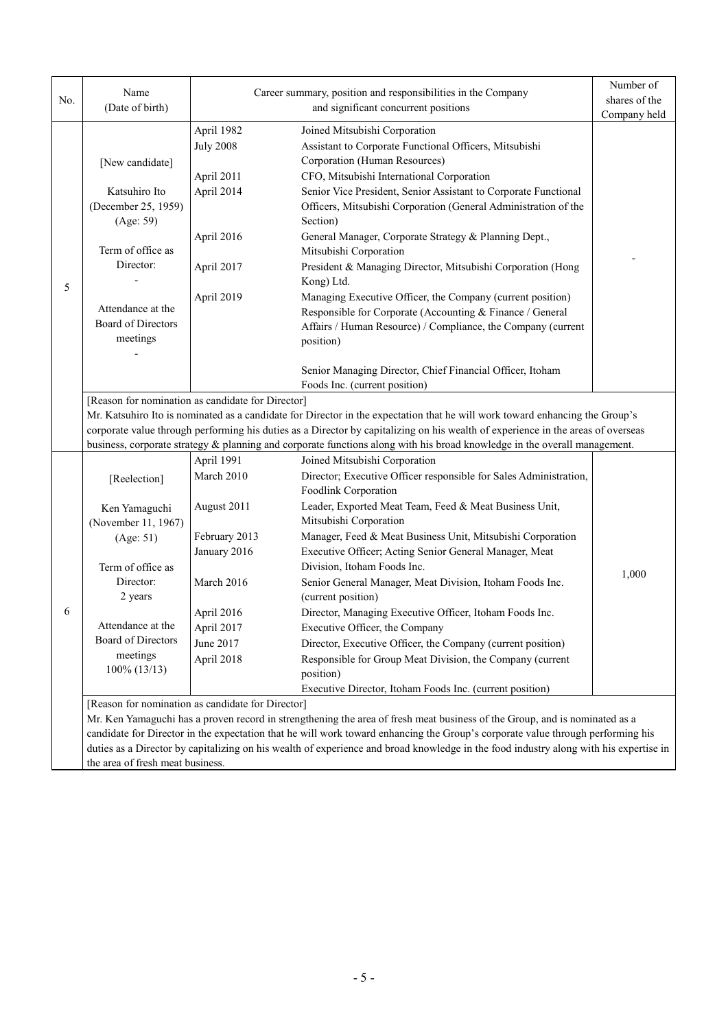| No. | Name<br>(Date of birth)                                                                                                                                                                                                                                          |                                  | Career summary, position and responsibilities in the Company<br>and significant concurrent positions                      | Number of<br>shares of the |  |  |  |
|-----|------------------------------------------------------------------------------------------------------------------------------------------------------------------------------------------------------------------------------------------------------------------|----------------------------------|---------------------------------------------------------------------------------------------------------------------------|----------------------------|--|--|--|
|     |                                                                                                                                                                                                                                                                  |                                  |                                                                                                                           | Company held               |  |  |  |
|     |                                                                                                                                                                                                                                                                  | April 1982                       | Joined Mitsubishi Corporation                                                                                             |                            |  |  |  |
|     |                                                                                                                                                                                                                                                                  | <b>July 2008</b>                 | Assistant to Corporate Functional Officers, Mitsubishi                                                                    |                            |  |  |  |
|     | [New candidate]                                                                                                                                                                                                                                                  |                                  | Corporation (Human Resources)                                                                                             |                            |  |  |  |
|     |                                                                                                                                                                                                                                                                  | April 2011                       | CFO, Mitsubishi International Corporation                                                                                 |                            |  |  |  |
|     | Katsuhiro Ito                                                                                                                                                                                                                                                    | April 2014                       | Senior Vice President, Senior Assistant to Corporate Functional                                                           |                            |  |  |  |
|     | (December 25, 1959)<br>(Age: 59)                                                                                                                                                                                                                                 |                                  | Officers, Mitsubishi Corporation (General Administration of the<br>Section)                                               |                            |  |  |  |
|     |                                                                                                                                                                                                                                                                  | April 2016                       | General Manager, Corporate Strategy & Planning Dept.,                                                                     |                            |  |  |  |
|     | Term of office as                                                                                                                                                                                                                                                |                                  | Mitsubishi Corporation                                                                                                    |                            |  |  |  |
|     | Director:                                                                                                                                                                                                                                                        | April 2017                       | President & Managing Director, Mitsubishi Corporation (Hong                                                               |                            |  |  |  |
|     |                                                                                                                                                                                                                                                                  |                                  | Kong) Ltd.                                                                                                                |                            |  |  |  |
| 5   |                                                                                                                                                                                                                                                                  | April 2019                       | Managing Executive Officer, the Company (current position)                                                                |                            |  |  |  |
|     | Attendance at the                                                                                                                                                                                                                                                |                                  | Responsible for Corporate (Accounting & Finance / General                                                                 |                            |  |  |  |
|     | Board of Directors                                                                                                                                                                                                                                               |                                  | Affairs / Human Resource) / Compliance, the Company (current                                                              |                            |  |  |  |
|     | meetings                                                                                                                                                                                                                                                         |                                  | position)                                                                                                                 |                            |  |  |  |
|     |                                                                                                                                                                                                                                                                  |                                  |                                                                                                                           |                            |  |  |  |
|     |                                                                                                                                                                                                                                                                  |                                  | Senior Managing Director, Chief Financial Officer, Itoham                                                                 |                            |  |  |  |
|     |                                                                                                                                                                                                                                                                  |                                  | Foods Inc. (current position)                                                                                             |                            |  |  |  |
|     | [Reason for nomination as candidate for Director]                                                                                                                                                                                                                |                                  |                                                                                                                           |                            |  |  |  |
|     | Mr. Katsuhiro Ito is nominated as a candidate for Director in the expectation that he will work toward enhancing the Group's<br>corporate value through performing his duties as a Director by capitalizing on his wealth of experience in the areas of overseas |                                  |                                                                                                                           |                            |  |  |  |
|     |                                                                                                                                                                                                                                                                  |                                  | business, corporate strategy & planning and corporate functions along with his broad knowledge in the overall management. |                            |  |  |  |
|     |                                                                                                                                                                                                                                                                  | April 1991                       | Joined Mitsubishi Corporation                                                                                             |                            |  |  |  |
|     | [Reelection]                                                                                                                                                                                                                                                     | March 2010                       | Director; Executive Officer responsible for Sales Administration,                                                         |                            |  |  |  |
|     |                                                                                                                                                                                                                                                                  |                                  | Foodlink Corporation                                                                                                      |                            |  |  |  |
|     | Ken Yamaguchi                                                                                                                                                                                                                                                    | August 2011                      | Leader, Exported Meat Team, Feed & Meat Business Unit,                                                                    |                            |  |  |  |
|     | (November 11, 1967)                                                                                                                                                                                                                                              |                                  | Mitsubishi Corporation                                                                                                    |                            |  |  |  |
|     | (Age: 51)                                                                                                                                                                                                                                                        | February 2013                    | Manager, Feed & Meat Business Unit, Mitsubishi Corporation                                                                |                            |  |  |  |
|     |                                                                                                                                                                                                                                                                  | January 2016                     | Executive Officer; Acting Senior General Manager, Meat                                                                    |                            |  |  |  |
|     | Term of office as                                                                                                                                                                                                                                                |                                  | Division, Itoham Foods Inc.                                                                                               | 1,000                      |  |  |  |
|     | Director:                                                                                                                                                                                                                                                        | March 2016                       | Senior General Manager, Meat Division, Itoham Foods Inc.                                                                  |                            |  |  |  |
|     | 2 years                                                                                                                                                                                                                                                          |                                  | (current position)                                                                                                        |                            |  |  |  |
| 6   |                                                                                                                                                                                                                                                                  | April 2016                       | Director, Managing Executive Officer, Itoham Foods Inc.                                                                   |                            |  |  |  |
|     | Attendance at the                                                                                                                                                                                                                                                | April 2017                       | Executive Officer, the Company                                                                                            |                            |  |  |  |
|     | Board of Directors<br>meetings                                                                                                                                                                                                                                   | June 2017                        | Director, Executive Officer, the Company (current position)                                                               |                            |  |  |  |
|     | 100% (13/13)                                                                                                                                                                                                                                                     | April 2018                       | Responsible for Group Meat Division, the Company (current                                                                 |                            |  |  |  |
|     |                                                                                                                                                                                                                                                                  |                                  | position)                                                                                                                 |                            |  |  |  |
|     | Executive Director, Itoham Foods Inc. (current position)                                                                                                                                                                                                         |                                  |                                                                                                                           |                            |  |  |  |
|     | [Reason for nomination as candidate for Director]<br>Mr. Ken Yamaguchi has a proven record in strengthening the area of fresh meat business of the Group, and is nominated as a                                                                                  |                                  |                                                                                                                           |                            |  |  |  |
|     | candidate for Director in the expectation that he will work toward enhancing the Group's corporate value through performing his                                                                                                                                  |                                  |                                                                                                                           |                            |  |  |  |
|     | duties as a Director by capitalizing on his wealth of experience and broad knowledge in the food industry along with his expertise in                                                                                                                            |                                  |                                                                                                                           |                            |  |  |  |
|     |                                                                                                                                                                                                                                                                  | the area of fresh meat business. |                                                                                                                           |                            |  |  |  |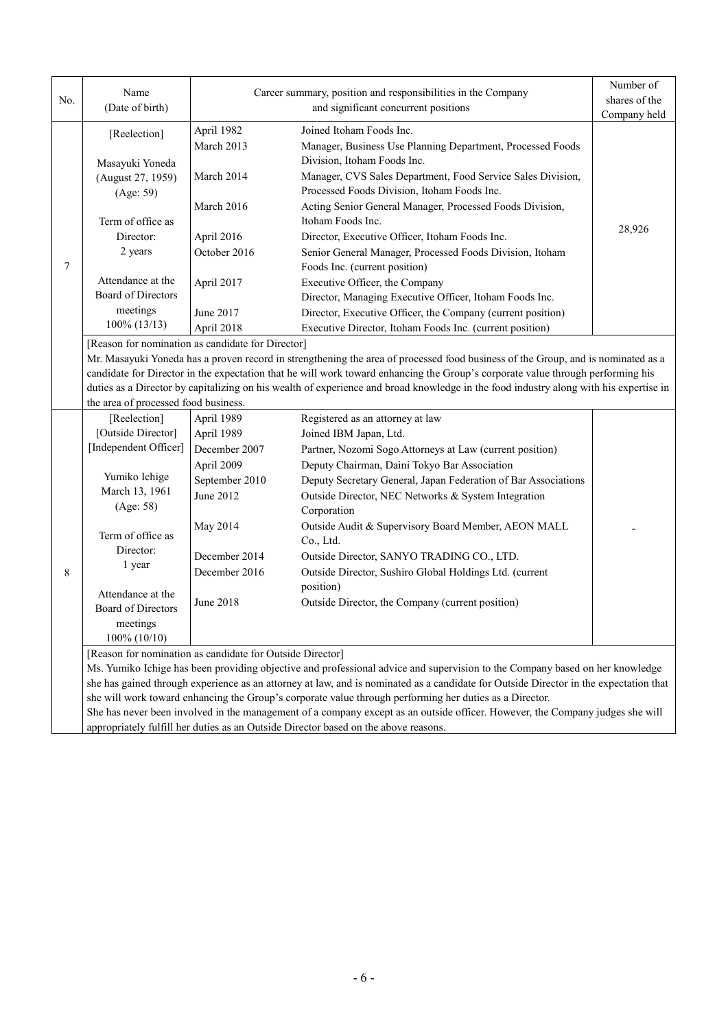| No.              | Name<br>(Date of birth)                                                                                                               |                  | Career summary, position and responsibilities in the Company<br>and significant concurrent positions                                  | Number of<br>shares of the |  |  |  |
|------------------|---------------------------------------------------------------------------------------------------------------------------------------|------------------|---------------------------------------------------------------------------------------------------------------------------------------|----------------------------|--|--|--|
|                  |                                                                                                                                       |                  |                                                                                                                                       | Company held               |  |  |  |
|                  | [Reelection]                                                                                                                          | April 1982       | Joined Itoham Foods Inc.                                                                                                              |                            |  |  |  |
|                  |                                                                                                                                       | March 2013       | Manager, Business Use Planning Department, Processed Foods                                                                            |                            |  |  |  |
|                  | Masayuki Yoneda                                                                                                                       |                  | Division, Itoham Foods Inc.                                                                                                           |                            |  |  |  |
|                  | (August 27, 1959)                                                                                                                     | March 2014       | Manager, CVS Sales Department, Food Service Sales Division,                                                                           |                            |  |  |  |
|                  | (Age: 59)                                                                                                                             |                  | Processed Foods Division, Itoham Foods Inc.                                                                                           |                            |  |  |  |
|                  |                                                                                                                                       | March 2016       | Acting Senior General Manager, Processed Foods Division,                                                                              |                            |  |  |  |
|                  | Term of office as                                                                                                                     |                  | Itoham Foods Inc.                                                                                                                     | 28,926                     |  |  |  |
|                  | Director:                                                                                                                             | April 2016       | Director, Executive Officer, Itoham Foods Inc.                                                                                        |                            |  |  |  |
|                  | 2 years                                                                                                                               | October 2016     | Senior General Manager, Processed Foods Division, Itoham                                                                              |                            |  |  |  |
| $\boldsymbol{7}$ |                                                                                                                                       |                  | Foods Inc. (current position)                                                                                                         |                            |  |  |  |
|                  | Attendance at the<br><b>Board of Directors</b>                                                                                        | April 2017       | Executive Officer, the Company                                                                                                        |                            |  |  |  |
|                  |                                                                                                                                       |                  | Director, Managing Executive Officer, Itoham Foods Inc.                                                                               |                            |  |  |  |
|                  | meetings                                                                                                                              | June 2017        | Director, Executive Officer, the Company (current position)                                                                           |                            |  |  |  |
|                  | $100\% (13/13)$                                                                                                                       | April 2018       | Executive Director, Itoham Foods Inc. (current position)                                                                              |                            |  |  |  |
|                  | [Reason for nomination as candidate for Director]                                                                                     |                  |                                                                                                                                       |                            |  |  |  |
|                  |                                                                                                                                       |                  | Mr. Masayuki Yoneda has a proven record in strengthening the area of processed food business of the Group, and is nominated as a      |                            |  |  |  |
|                  |                                                                                                                                       |                  | candidate for Director in the expectation that he will work toward enhancing the Group's corporate value through performing his       |                            |  |  |  |
|                  |                                                                                                                                       |                  | duties as a Director by capitalizing on his wealth of experience and broad knowledge in the food industry along with his expertise in |                            |  |  |  |
|                  | the area of processed food business.                                                                                                  |                  |                                                                                                                                       |                            |  |  |  |
|                  | [Reelection]                                                                                                                          | April 1989       | Registered as an attorney at law                                                                                                      |                            |  |  |  |
|                  | [Outside Director]                                                                                                                    | April 1989       | Joined IBM Japan, Ltd.                                                                                                                |                            |  |  |  |
|                  | [Independent Officer]                                                                                                                 | December 2007    | Partner, Nozomi Sogo Attorneys at Law (current position)                                                                              |                            |  |  |  |
|                  |                                                                                                                                       | April 2009       | Deputy Chairman, Daini Tokyo Bar Association                                                                                          |                            |  |  |  |
|                  | Yumiko Ichige                                                                                                                         | September 2010   | Deputy Secretary General, Japan Federation of Bar Associations                                                                        |                            |  |  |  |
|                  | March 13, 1961                                                                                                                        | June 2012        | Outside Director, NEC Networks & System Integration                                                                                   |                            |  |  |  |
|                  | (Age: 58)                                                                                                                             |                  | Corporation                                                                                                                           |                            |  |  |  |
|                  | Term of office as<br>Director:                                                                                                        | May 2014         | Outside Audit & Supervisory Board Member, AEON MALL                                                                                   |                            |  |  |  |
|                  |                                                                                                                                       |                  | Co., Ltd.                                                                                                                             |                            |  |  |  |
|                  |                                                                                                                                       | December 2014    | Outside Director, SANYO TRADING CO., LTD.                                                                                             |                            |  |  |  |
| 8                | 1 year                                                                                                                                | December 2016    | Outside Director, Sushiro Global Holdings Ltd. (current                                                                               |                            |  |  |  |
|                  | Attendance at the                                                                                                                     |                  | position)                                                                                                                             |                            |  |  |  |
|                  | Board of Directors                                                                                                                    | <b>June 2018</b> | Outside Director, the Company (current position)                                                                                      |                            |  |  |  |
|                  | meetings                                                                                                                              |                  |                                                                                                                                       |                            |  |  |  |
|                  | 100% (10/10)                                                                                                                          |                  |                                                                                                                                       |                            |  |  |  |
|                  | [Reason for nomination as candidate for Outside Director]                                                                             |                  |                                                                                                                                       |                            |  |  |  |
|                  | Ms. Yumiko Ichige has been providing objective and professional advice and supervision to the Company based on her knowledge          |                  |                                                                                                                                       |                            |  |  |  |
|                  | she has gained through experience as an attorney at law, and is nominated as a candidate for Outside Director in the expectation that |                  |                                                                                                                                       |                            |  |  |  |
|                  | she will work toward enhancing the Group's corporate value through performing her duties as a Director.                               |                  |                                                                                                                                       |                            |  |  |  |
|                  | She has never been involved in the management of a company except as an outside officer. However, the Company judges she will         |                  |                                                                                                                                       |                            |  |  |  |
|                  | appropriately fulfill her duties as an Outside Director based on the above reasons.                                                   |                  |                                                                                                                                       |                            |  |  |  |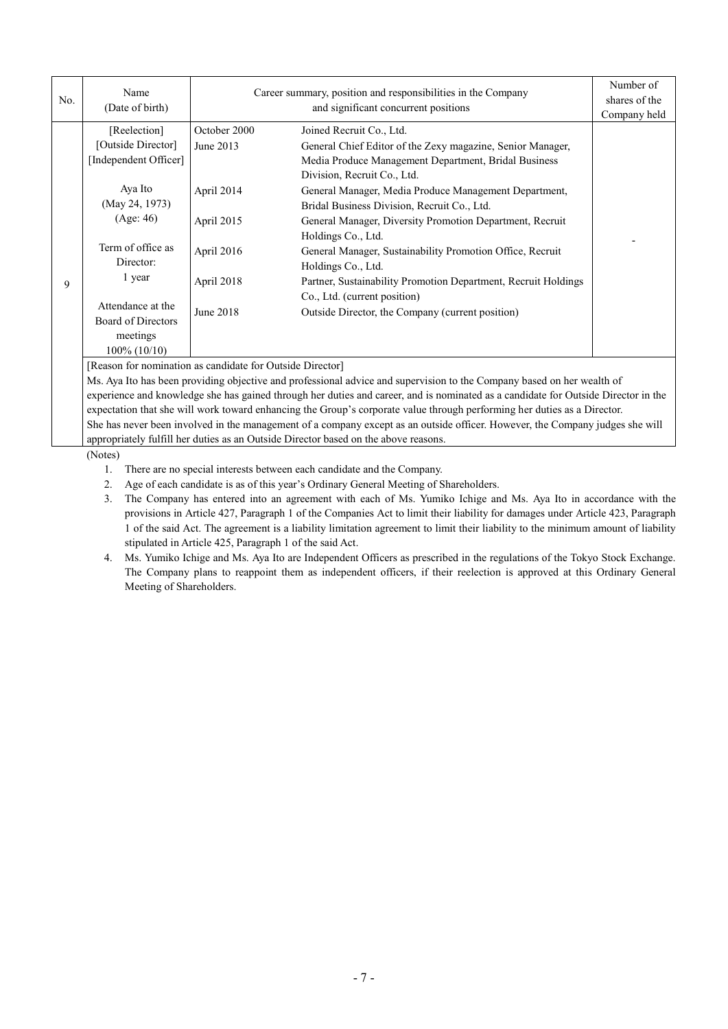| No. | Name<br>(Date of birth)                                                | Career summary, position and responsibilities in the Company<br>and significant concurrent positions |                                                                                                                                                                                        | Number of<br>shares of the<br>Company held |
|-----|------------------------------------------------------------------------|------------------------------------------------------------------------------------------------------|----------------------------------------------------------------------------------------------------------------------------------------------------------------------------------------|--------------------------------------------|
|     | [Reelection]<br>[Outside Director]<br>[Independent Officer]            | October 2000<br>June 2013                                                                            | Joined Recruit Co., Ltd.<br>General Chief Editor of the Zexy magazine, Senior Manager,<br>Media Produce Management Department, Bridal Business<br>Division, Recruit Co., Ltd.          |                                            |
|     | Aya Ito<br>(May 24, 1973)<br>(Age: 46)                                 | April 2014<br>April 2015                                                                             | General Manager, Media Produce Management Department,<br>Bridal Business Division, Recruit Co., Ltd.<br>General Manager, Diversity Promotion Department, Recruit<br>Holdings Co., Ltd. |                                            |
| 9   | Term of office as<br>Director:<br>1 year                               | April 2016<br>April 2018                                                                             | General Manager, Sustainability Promotion Office, Recruit<br>Holdings Co., Ltd.<br>Partner, Sustainability Promotion Department, Recruit Holdings                                      |                                            |
|     | Attendance at the<br>Board of Directors<br>meetings<br>$100\%$ (10/10) | June 2018                                                                                            | Co., Ltd. (current position)<br>Outside Director, the Company (current position)                                                                                                       |                                            |

[Reason for nomination as candidate for Outside Director]

Ms. Aya Ito has been providing objective and professional advice and supervision to the Company based on her wealth of experience and knowledge she has gained through her duties and career, and is nominated as a candidate for Outside Director in the expectation that she will work toward enhancing the Group's corporate value through performing her duties as a Director. She has never been involved in the management of a company except as an outside officer. However, the Company judges she will appropriately fulfill her duties as an Outside Director based on the above reasons.

(Notes)

- 1. There are no special interests between each candidate and the Company.
- 2. Age of each candidate is as of this year's Ordinary General Meeting of Shareholders.
- 3. The Company has entered into an agreement with each of Ms. Yumiko Ichige and Ms. Aya Ito in accordance with the provisions in Article 427, Paragraph 1 of the Companies Act to limit their liability for damages under Article 423, Paragraph 1 of the said Act. The agreement is a liability limitation agreement to limit their liability to the minimum amount of liability stipulated in Article 425, Paragraph 1 of the said Act.
- 4. Ms. Yumiko Ichige and Ms. Aya Ito are Independent Officers as prescribed in the regulations of the Tokyo Stock Exchange. The Company plans to reappoint them as independent officers, if their reelection is approved at this Ordinary General Meeting of Shareholders.